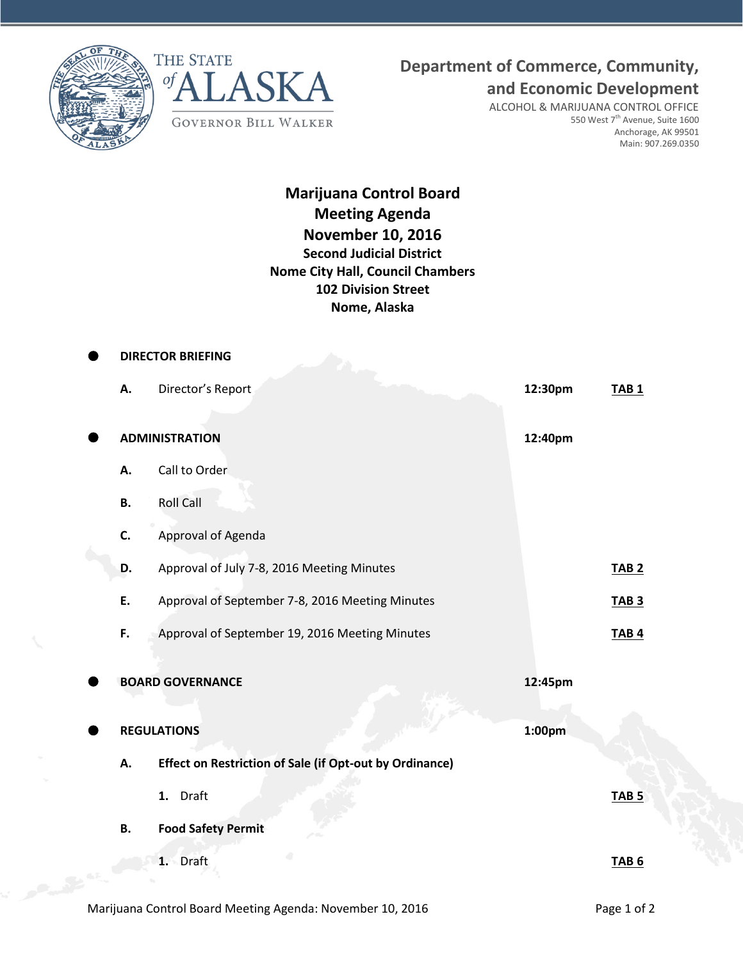



## **Department of Commerce, Community,**

**and Economic Development**

ALCOHOL & MARIJUANA CONTROL OFFICE 550 West 7<sup>th</sup> Avenue, Suite 1600 Anchorage, AK 99501 Main: 907.269.0350

**Marijuana Control Board Meeting Agenda November 10, 2016 Second Judicial District Nome City Hall, Council Chambers 102 Division Street Nome, Alaska**

| <b>DIRECTOR BRIEFING</b> |                                                                |                    |                  |  |  |
|--------------------------|----------------------------------------------------------------|--------------------|------------------|--|--|
| А.                       | Director's Report                                              | 12:30pm            | TAB <sub>1</sub> |  |  |
|                          |                                                                | 12:40pm            |                  |  |  |
|                          | <b>ADMINISTRATION</b>                                          |                    |                  |  |  |
| А.                       | Call to Order                                                  |                    |                  |  |  |
| В.                       | <b>Roll Call</b>                                               |                    |                  |  |  |
| C.                       | Approval of Agenda                                             |                    |                  |  |  |
| D.                       | Approval of July 7-8, 2016 Meeting Minutes                     |                    | <b>TAB 2</b>     |  |  |
| E.                       | Approval of September 7-8, 2016 Meeting Minutes                |                    | <b>TAB 3</b>     |  |  |
| F.                       | Approval of September 19, 2016 Meeting Minutes                 |                    | <b>TAB4</b>      |  |  |
|                          | <b>BOARD GOVERNANCE</b>                                        | 12:45pm            |                  |  |  |
|                          |                                                                |                    |                  |  |  |
|                          | <b>REGULATIONS</b>                                             | 1:00 <sub>pm</sub> |                  |  |  |
| А.                       | <b>Effect on Restriction of Sale (if Opt-out by Ordinance)</b> |                    |                  |  |  |
|                          | 1. Draft                                                       |                    | TAB <sub>5</sub> |  |  |
| <b>B.</b>                | <b>Food Safety Permit</b>                                      |                    |                  |  |  |
|                          | 1. Draft                                                       |                    | <b>TAB 6</b>     |  |  |